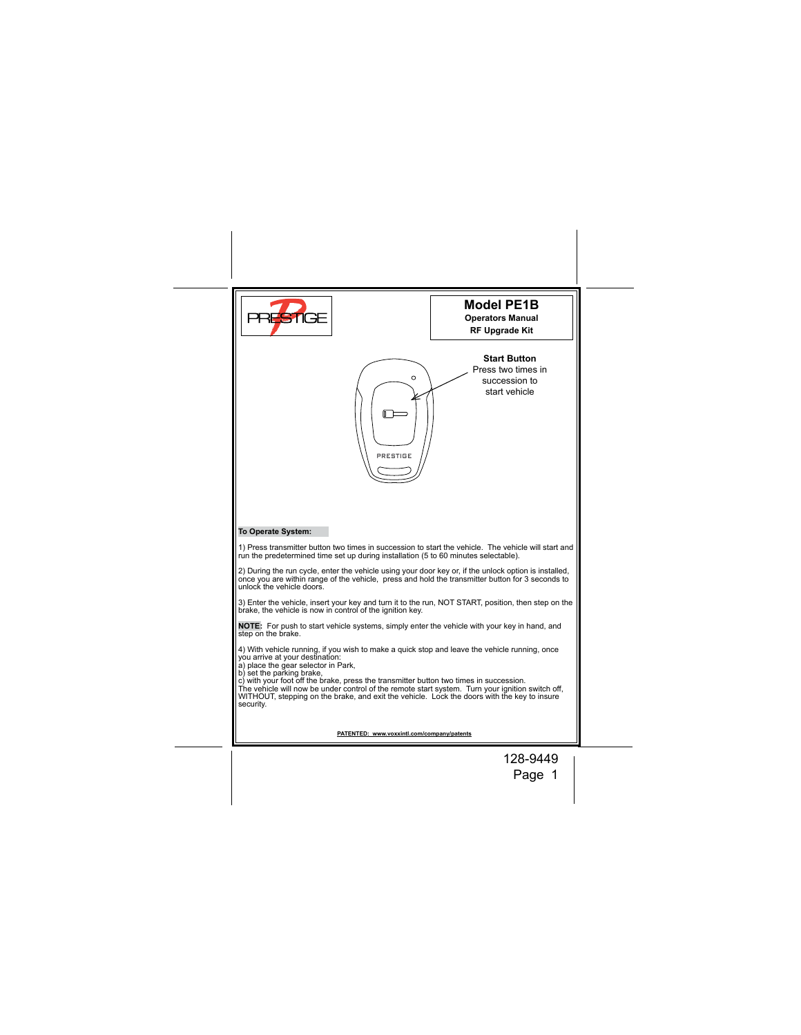|                                                                                                                                                                                                                                                                                                                                                                                                                                                                                                                | <b>Model PE1B</b><br><b>Operators Manual</b><br><b>RF Upgrade Kit</b>       |
|----------------------------------------------------------------------------------------------------------------------------------------------------------------------------------------------------------------------------------------------------------------------------------------------------------------------------------------------------------------------------------------------------------------------------------------------------------------------------------------------------------------|-----------------------------------------------------------------------------|
| $\circ$<br>PRESTIGE                                                                                                                                                                                                                                                                                                                                                                                                                                                                                            | <b>Start Button</b><br>Press two times in<br>succession to<br>start vehicle |
| To Operate System:                                                                                                                                                                                                                                                                                                                                                                                                                                                                                             |                                                                             |
| 1) Press transmitter button two times in succession to start the vehicle. The vehicle will start and<br>run the predetermined time set up during installation (5 to 60 minutes selectable).                                                                                                                                                                                                                                                                                                                    |                                                                             |
| 2) During the run cycle, enter the vehicle using your door key or, if the unlock option is installed,<br>once you are within range of the vehicle, press and hold the transmitter button for 3 seconds to<br>unlock the vehicle doors.                                                                                                                                                                                                                                                                         |                                                                             |
| 3) Enter the vehicle, insert your key and turn it to the run, NOT START, position, then step on the<br>brake, the vehicle is now in control of the ignition key.                                                                                                                                                                                                                                                                                                                                               |                                                                             |
| NOTE: For push to start vehicle systems, simply enter the vehicle with your key in hand, and<br>step on the brake.                                                                                                                                                                                                                                                                                                                                                                                             |                                                                             |
| 4) With vehicle running, if you wish to make a quick stop and leave the vehicle running, once<br>you arrive at your destination:<br>a) place the gear selector in Park,<br>b) set the parking brake,<br>c) with your foot off the brake, press the transmitter button two times in succession.<br>The vehicle will now be under control of the remote start system. Turn your ignition switch off,<br>WITHOUT, stepping on the brake, and exit the vehicle. Lock the doors with the key to insure<br>security. |                                                                             |
| PATENTED: www.voxxintl.com/company/patents                                                                                                                                                                                                                                                                                                                                                                                                                                                                     |                                                                             |
|                                                                                                                                                                                                                                                                                                                                                                                                                                                                                                                | 128-9449<br>Page 1                                                          |
|                                                                                                                                                                                                                                                                                                                                                                                                                                                                                                                |                                                                             |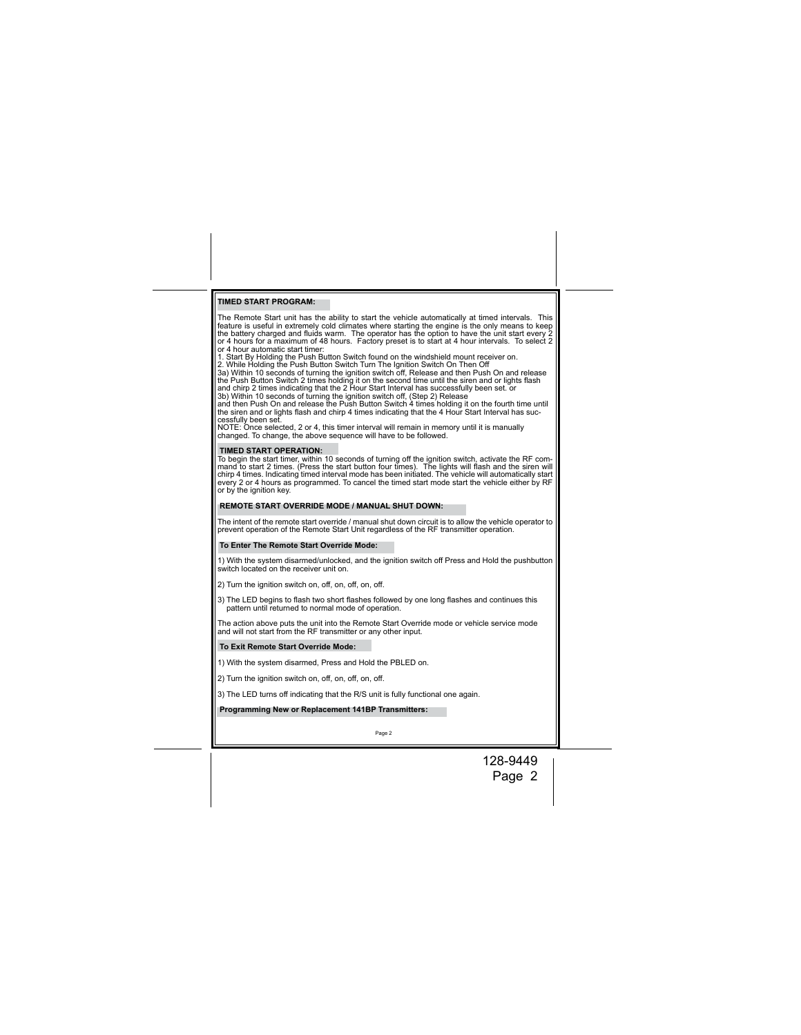# **TIMED START PROGRAM:**

The Remote Start unit has the ability to start the vehicle automatically at timed intervals. This cheme feature is useful in extremely cold climates where starting the engine is the only means to keep the battery charged a

NOTE: Once selected, 2 or 4, this timer interval will remain in memory until it is manually changed. To change, the above sequence will have to be followed.

**TIMED START OPERATION:**<br>To begin the start timer, within 10 seconds of turning off the ignition switch, activate the RF com-<br>To begin the start timer, within 10 seconds of turning). The lights will flash and the siren wil

### **REMOTE START OVERRIDE MODE / MANUAL SHUT DOWN:**

The intent of the remote start override / manual shut down circuit is to allow the vehicle operator to<br>prevent operation of the Remote Start Unit regardless of the RF transmitter operation.

# **To Enter The Remote Start Override Mode:**

1) With the system disarmed/unlocked, and the ignition switch off Press and Hold the pushbutton switch located on the receiver unit on.

2) Turn the ignition switch on, off, on, off, on, off,

3) The LED begins to flash two short flashes followed by one long flashes and continues this pattern until returned to normal mode of operation.

The action above puts the unit into the Remote Start Override mode or vehicle service mode and will not start from the RF transmitter or any other input.

## **To Exit Remote Start Override Mode:**

1) With the system disarmed, Press and Hold the PBLED on.

2) Turn the ignition switch on, off, on, off, on, off.

3) The LED turns off indicating that the R/S unit is fully functional one again.

 **Programming New or Replacement 141BP Transmitters:**

Page 2

128-9449 Page 2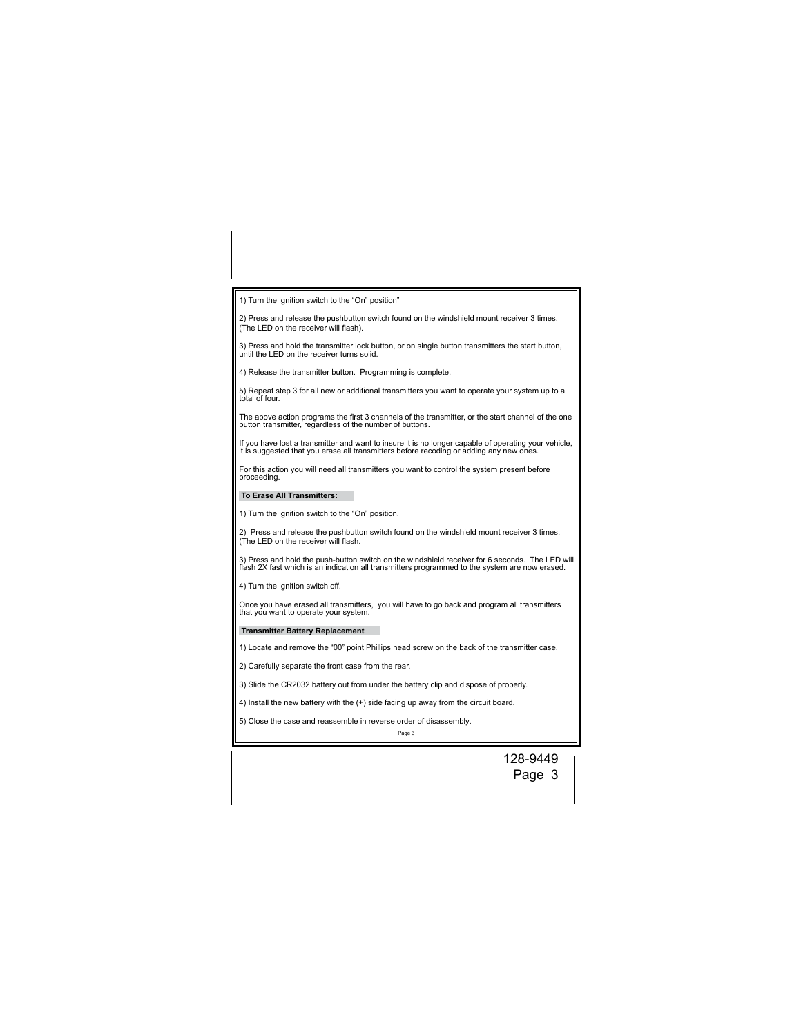| 1) Turn the ignition switch to the "On" position"                                                                                                                                                 |  |
|---------------------------------------------------------------------------------------------------------------------------------------------------------------------------------------------------|--|
| 2) Press and release the pushbutton switch found on the windshield mount receiver 3 times.<br>(The LED on the receiver will flash).                                                               |  |
| 3) Press and hold the transmitter lock button, or on single button transmitters the start button,<br>until the LED on the receiver turns solid.                                                   |  |
| 4) Release the transmitter button. Programming is complete.                                                                                                                                       |  |
| 5) Repeat step 3 for all new or additional transmitters you want to operate your system up to a<br>total of four.                                                                                 |  |
| The above action programs the first 3 channels of the transmitter, or the start channel of the one<br>button transmitter, regardless of the number of buttons.                                    |  |
| If you have lost a transmitter and want to insure it is no longer capable of operating your vehicle,<br>it is suggested that you erase all transmitters before recoding or adding any new ones.   |  |
| For this action you will need all transmitters you want to control the system present before<br>proceeding.                                                                                       |  |
| <b>To Erase All Transmitters:</b>                                                                                                                                                                 |  |
| 1) Turn the ignition switch to the "On" position.                                                                                                                                                 |  |
| 2) Press and release the pushbutton switch found on the windshield mount receiver 3 times.<br>(The LED on the receiver will flash.                                                                |  |
| 3) Press and hold the push-button switch on the windshield receiver for 6 seconds. The LED will<br>flash 2X fast which is an indication all transmitters programmed to the system are now erased. |  |
| 4) Turn the ignition switch off.                                                                                                                                                                  |  |
| Once you have erased all transmitters, you will have to go back and program all transmitters<br>that you want to operate your system.                                                             |  |
| <b>Transmitter Battery Replacement</b>                                                                                                                                                            |  |
| 1) Locate and remove the "00" point Phillips head screw on the back of the transmitter case.                                                                                                      |  |
| 2) Carefully separate the front case from the rear.                                                                                                                                               |  |
| 3) Slide the CR2032 battery out from under the battery clip and dispose of properly.                                                                                                              |  |
| 4) Install the new battery with the (+) side facing up away from the circuit board.                                                                                                               |  |
| 5) Close the case and reassemble in reverse order of disassembly.<br>Page 3                                                                                                                       |  |
| 128-9449                                                                                                                                                                                          |  |
|                                                                                                                                                                                                   |  |

Page 3